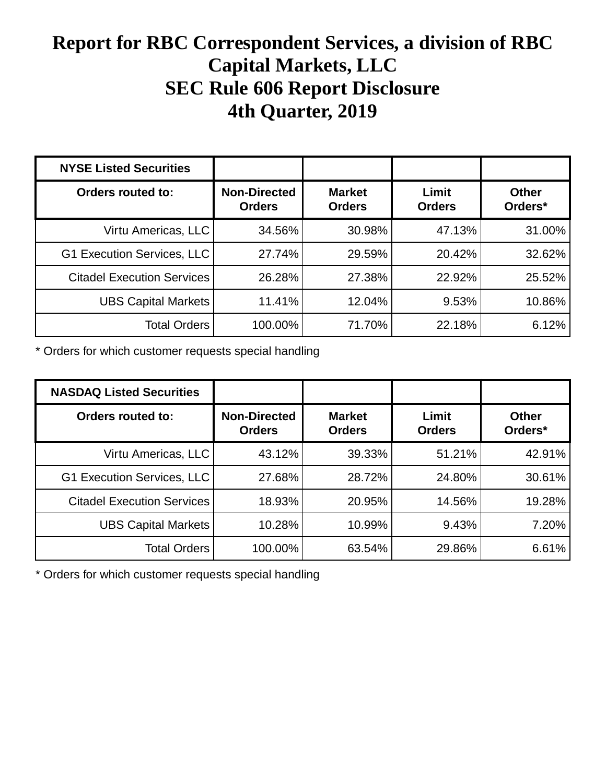## **Report for RBC Correspondent Services, a division of RBC Capital Markets, LLC SEC Rule 606 Report Disclosure 4th Quarter, 2019**

| <b>NYSE Listed Securities</b>     |                                      |                                |                        |                         |
|-----------------------------------|--------------------------------------|--------------------------------|------------------------|-------------------------|
| <b>Orders routed to:</b>          | <b>Non-Directed</b><br><b>Orders</b> | <b>Market</b><br><b>Orders</b> | Limit<br><b>Orders</b> | <b>Other</b><br>Orders* |
| Virtu Americas, LLC               | 34.56%                               | 30.98%                         | 47.13%                 | 31.00%                  |
| G1 Execution Services, LLC        | 27.74%                               | 29.59%                         | 20.42%                 | 32.62%                  |
| <b>Citadel Execution Services</b> | 26.28%                               | 27.38%                         | 22.92%                 | 25.52%                  |
| <b>UBS Capital Markets</b>        | 11.41%                               | 12.04%                         | 9.53%                  | 10.86%                  |
| <b>Total Orders</b>               | 100.00%                              | 71.70%                         | 22.18%                 | 6.12%                   |

\* Orders for which customer requests special handling

| <b>NASDAQ Listed Securities</b>   |                                      |                                |                        |                         |
|-----------------------------------|--------------------------------------|--------------------------------|------------------------|-------------------------|
| Orders routed to:                 | <b>Non-Directed</b><br><b>Orders</b> | <b>Market</b><br><b>Orders</b> | Limit<br><b>Orders</b> | <b>Other</b><br>Orders* |
| Virtu Americas, LLC               | 43.12%                               | 39.33%                         | 51.21%                 | 42.91%                  |
| G1 Execution Services, LLC        | 27.68%                               | 28.72%                         | 24.80%                 | 30.61%                  |
| <b>Citadel Execution Services</b> | 18.93%                               | 20.95%                         | 14.56%                 | 19.28%                  |
| <b>UBS Capital Markets</b>        | 10.28%                               | 10.99%                         | 9.43%                  | 7.20%                   |
| <b>Total Orders</b>               | 100.00%                              | 63.54%                         | 29.86%                 | 6.61%                   |

\* Orders for which customer requests special handling